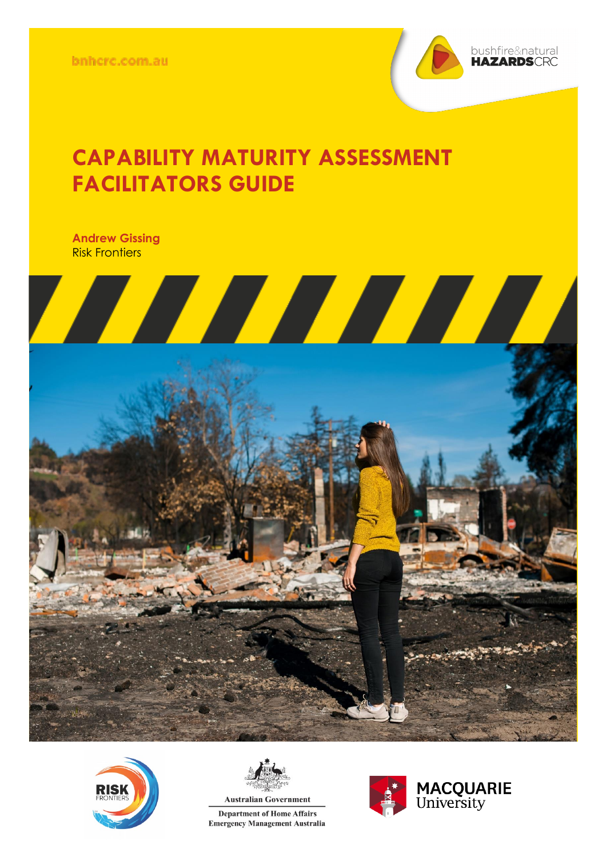

# **CAPABILITY MATURITY ASSESSMENT FACILITATORS GUIDE**

**Andrew Gissing** Risk Frontiers







**Department of Home Affairs Emergency Management Australia** 



**MACQUARIE**<br>University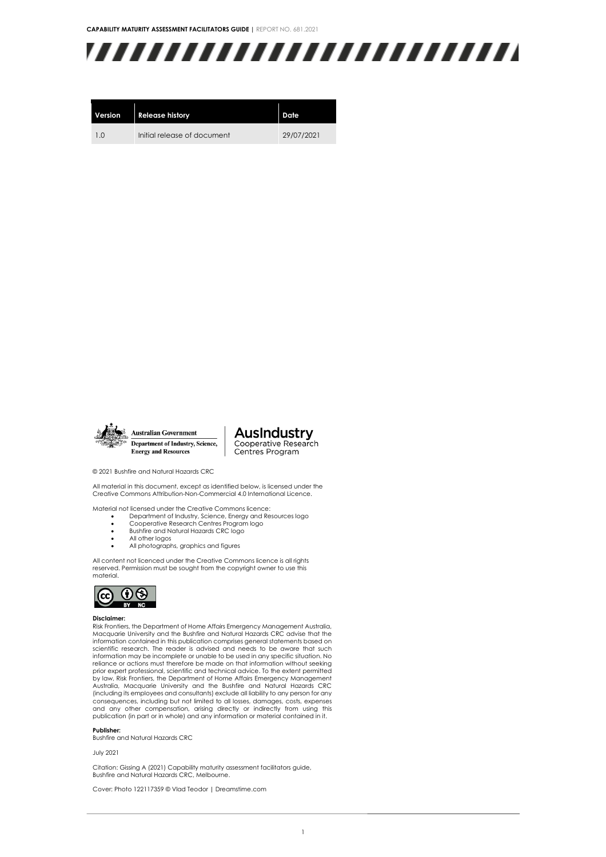

| Version        | <b>Release history</b>      | Date       |
|----------------|-----------------------------|------------|
| 1 <sub>0</sub> | Initial release of document | 29/07/2021 |



**Australian Government Department of Industry, Science, Energy and Resources** 

AusIndustry Cooperative Research Centres Program

© 2021 Bushfire and Natural Hazards CRC

All material in this document, except as identified below, is licensed under the Creative Commons Attribution-Non-Commercial 4.0 International Licence.

Material not licensed under the Creative Commons licence:<br>Department of Industry Science: Energy and Re

- Department of Industry, Science, Energy and Resources logo Cooperative Research Centres Program logo
- 
- Bushfire and Natural Hazards CRC logo<br>• All other logos
- All other logos All photographs, graphics and figures

All content not licenced under the Creative Commons licence is all rights reserved. Permission must be sought from the copyright owner to use this material.



#### **Disclaimer:**

Risk Frontiers, the Department of Home Affairs Emergency Management Australia, Macquarie University and the Bushfire and Natural Hazards CRC advise that the information contained in this publication comprises general statements based on scientific research. The reader is advised and needs to be aware that such information may be incomplete or unable to be used in any specific situation. No reliance or actions must therefore be made on that information without seeking prior expert professional, scientific and technical advice. To the extent permitted by law, Risk Frontiers, the Department of Home Affairs Emergency Management Australia, Macquarie University and the Bushfire and Natural Hazards CRC (including its employees and consultants) exclude all liability to any person for any consequences, including but not limited to all losses, damages, costs, expenses and any other compensation, arising directly or indirectly from using this publication (in part or in whole) and any information or material contained in it.

#### **Publisher:**

Bushfire and Natural Hazards CRC

#### July 2021

Citation: Gissing A (2021) Capability maturity assessment facilitators guide, Bushfire and Natural Hazards CRC, Melbourne.

Cover: Photo 122117359 © Vlad Teodor | Dreamstime.com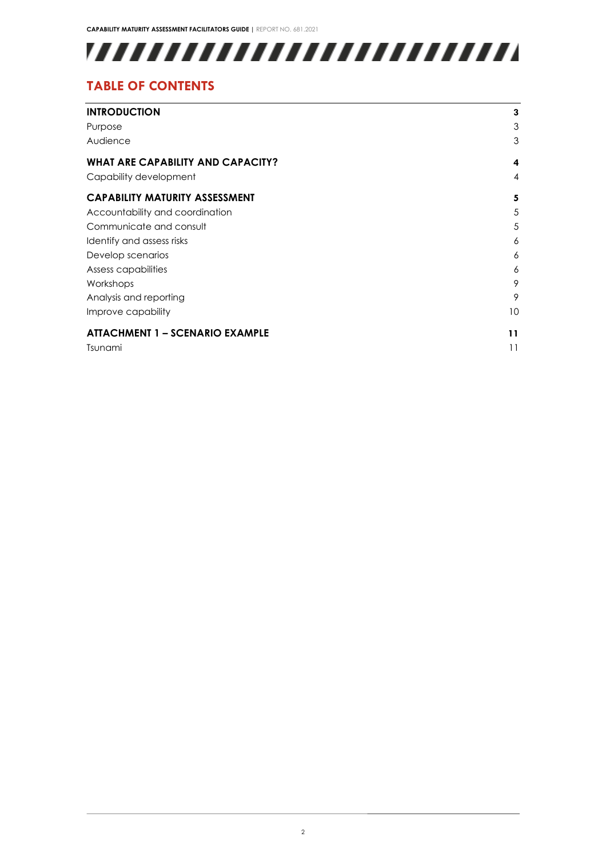# 

## **TABLE OF CONTENTS**

| <b>INTRODUCTION</b>                      | 3  |
|------------------------------------------|----|
| Purpose                                  | 3  |
| Audience                                 | 3  |
| <b>WHAT ARE CAPABILITY AND CAPACITY?</b> | 4  |
| Capability development                   | 4  |
| <b>CAPABILITY MATURITY ASSESSMENT</b>    | 5  |
| Accountability and coordination          | 5  |
| Communicate and consult                  | 5  |
| Identify and assess risks                | 6  |
| Develop scenarios                        | 6  |
| Assess capabilities                      | 6  |
| Workshops                                | 9  |
| Analysis and reporting                   | 9  |
| Improve capability                       | 10 |
| <b>ATTACHMENT 1 - SCENARIO EXAMPLE</b>   | 11 |
| Tsunami                                  | 11 |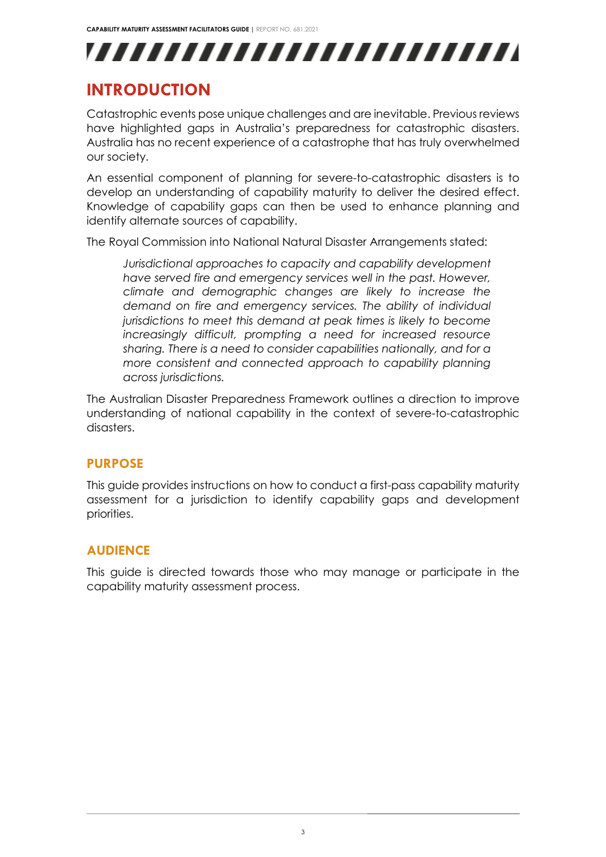

## <span id="page-3-0"></span>**INTRODUCTION**

Catastrophic events pose unique challenges and are inevitable. Previous reviews have highlighted gaps in Australia's preparedness for catastrophic disasters. Australia has no recent experience of a catastrophe that has truly overwhelmed our society.

An essential component of planning for severe-to-catastrophic disasters is to develop an understanding of capability maturity to deliver the desired effect. Knowledge of capability gaps can then be used to enhance planning and identify alternate sources of capability.

The Royal Commission into National Natural Disaster Arrangements stated:

*Jurisdictional approaches to capacity and capability development have served fire and emergency services well in the past. However, climate and demographic changes are likely to increase the demand on fire and emergency services. The ability of individual jurisdictions to meet this demand at peak times is likely to become increasingly difficult, prompting a need for increased resource sharing. There is a need to consider capabilities nationally, and for a more consistent and connected approach to capability planning across jurisdictions.*

The Australian Disaster Preparedness Framework outlines a direction to improve understanding of national capability in the context of severe-to-catastrophic disasters.

#### <span id="page-3-1"></span>**PURPOSE**

This guide provides instructions on how to conduct a first-pass capability maturity assessment for a jurisdiction to identify capability gaps and development priorities.

#### <span id="page-3-2"></span>**AUDIENCE**

This guide is directed towards those who may manage or participate in the capability maturity assessment process.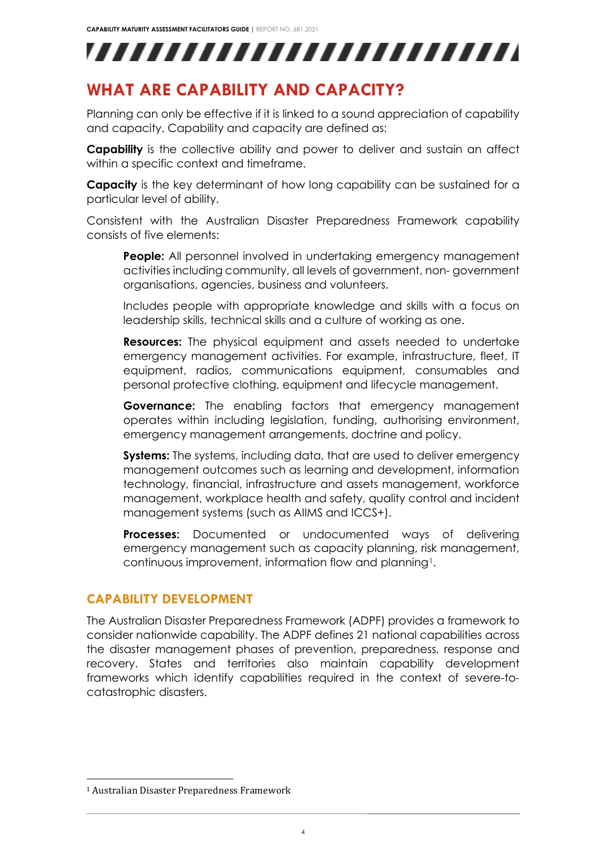,,,,,,,,,,,,,,,,,,,,,,,,,

## <span id="page-4-0"></span>**WHAT ARE CAPABILITY AND CAPACITY?**

Planning can only be effective if it is linked to a sound appreciation of capability and capacity. Capability and capacity are defined as:

**Capability** is the collective ability and power to deliver and sustain an affect within a specific context and timeframe.

**Capacity** is the key determinant of how long capability can be sustained for a particular level of ability.

Consistent with the Australian Disaster Preparedness Framework capability consists of five elements:

**People:** All personnel involved in undertaking emergency management activities including community, all levels of government, non- government organisations, agencies, business and volunteers.

Includes people with appropriate knowledge and skills with a focus on leadership skills, technical skills and a culture of working as one.

**Resources:** The physical equipment and assets needed to undertake emergency management activities. For example, infrastructure, fleet, IT equipment, radios, communications equipment, consumables and personal protective clothing, equipment and lifecycle management.

**Governance:** The enabling factors that emergency management operates within including legislation, funding, authorising environment, emergency management arrangements, doctrine and policy.

**Systems:** The systems, including data, that are used to deliver emergency management outcomes such as learning and development, information technology, financial, infrastructure and assets management, workforce management, workplace health and safety, quality control and incident management systems (such as AIIMS and ICCS+).

**Processes:** Documented or undocumented ways of delivering emergency management such as capacity planning, risk management, continuous improvement, information flow and planning[1](#page-4-2).

#### <span id="page-4-1"></span>**CAPABILITY DEVELOPMENT**

The Australian Disaster Preparedness Framework (ADPF) provides a framework to consider nationwide capability. The ADPF defines 21 national capabilities across the disaster management phases of prevention, preparedness, response and recovery. States and territories also maintain capability development frameworks which identify capabilities required in the context of severe-tocatastrophic disasters.

<span id="page-4-2"></span><sup>1</sup> Australian Disaster Preparedness Framework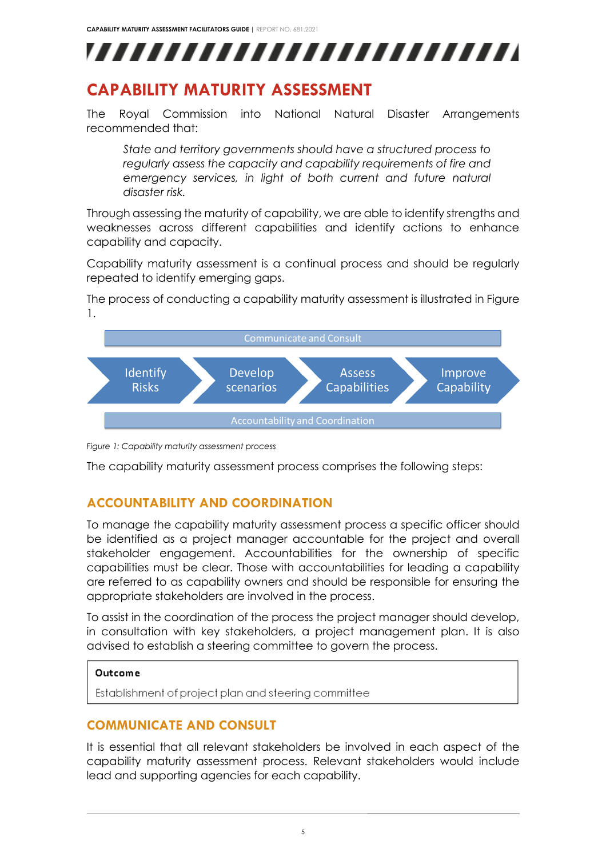,,,,,,,,,,,,,,,,,,,,,,,,,

## <span id="page-5-0"></span>**CAPABILITY MATURITY ASSESSMENT**

The Royal Commission into National Natural Disaster Arrangements recommended that:

*State and territory governments should have a structured process to regularly assess the capacity and capability requirements of fire and emergency services, in light of both current and future natural disaster risk.*

Through assessing the maturity of capability, we are able to identify strengths and weaknesses across different capabilities and identify actions to enhance capability and capacity.

Capability maturity assessment is a continual process and should be regularly repeated to identify emerging gaps.

The process of conducting a capability maturity assessment is illustrated in Figure 1.



*Figure 1: Capability maturity assessment process*

<span id="page-5-1"></span>The capability maturity assessment process comprises the following steps:

#### **ACCOUNTABILITY AND COORDINATION**

To manage the capability maturity assessment process a specific officer should be identified as a project manager accountable for the project and overall stakeholder engagement. Accountabilities for the ownership of specific capabilities must be clear. Those with accountabilities for leading a capability are referred to as capability owners and should be responsible for ensuring the appropriate stakeholders are involved in the process.

To assist in the coordination of the process the project manager should develop, in consultation with key stakeholders, a project management plan. It is also advised to establish a steering committee to govern the process.

#### Outcome

<span id="page-5-2"></span>Establishment of project plan and steering committee

#### **COMMUNICATE AND CONSULT**

It is essential that all relevant stakeholders be involved in each aspect of the capability maturity assessment process. Relevant stakeholders would include lead and supporting agencies for each capability.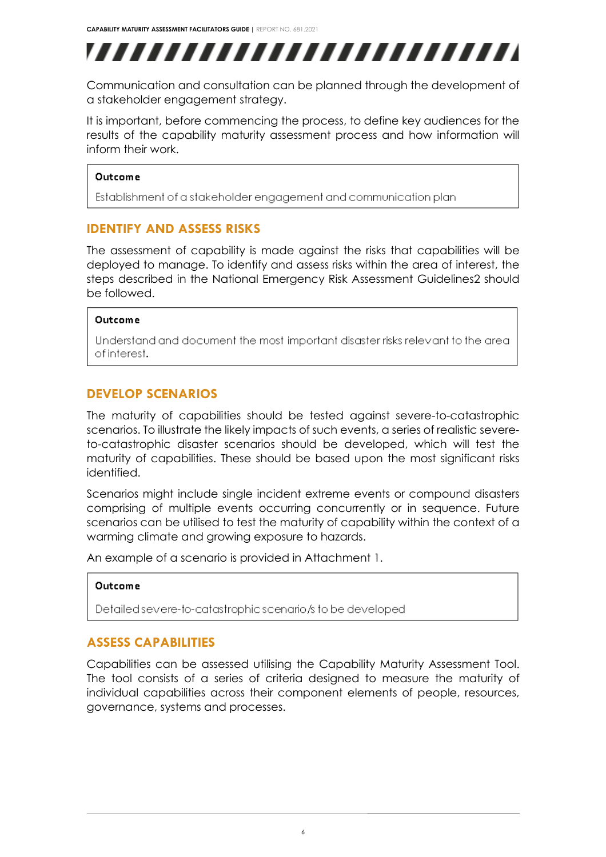,,,,,,,,,,,,,,,,,,,,,,,,,

Communication and consultation can be planned through the development of a stakeholder engagement strategy.

It is important, before commencing the process, to define key audiences for the results of the capability maturity assessment process and how information will inform their work.

#### Outcome

<span id="page-6-0"></span>Establishment of a stakeholder engagement and communication plan

### **IDENTIFY AND ASSESS RISKS**

The assessment of capability is made against the risks that capabilities will be deployed to manage. To identify and assess risks within the area of interest, the steps described in the National Emergency Risk Assessment Guidelines2 should be followed.

#### Outcome

Understand and document the most important disaster risks relevant to the area of interest.

### <span id="page-6-1"></span>**DEVELOP SCENARIOS**

The maturity of capabilities should be tested against severe-to-catastrophic scenarios. To illustrate the likely impacts of such events, a series of realistic severeto-catastrophic disaster scenarios should be developed, which will test the maturity of capabilities. These should be based upon the most significant risks identified.

Scenarios might include single incident extreme events or compound disasters comprising of multiple events occurring concurrently or in sequence. Future scenarios can be utilised to test the maturity of capability within the context of a warming climate and growing exposure to hazards.

An example of a scenario is provided in Attachment 1.

#### Outcome

<span id="page-6-2"></span>Detailed severe-to-catastrophic scenario/s to be developed

#### **ASSESS CAPABILITIES**

Capabilities can be assessed utilising the Capability Maturity Assessment Tool. The tool consists of a series of criteria designed to measure the maturity of individual capabilities across their component elements of people, resources, governance, systems and processes.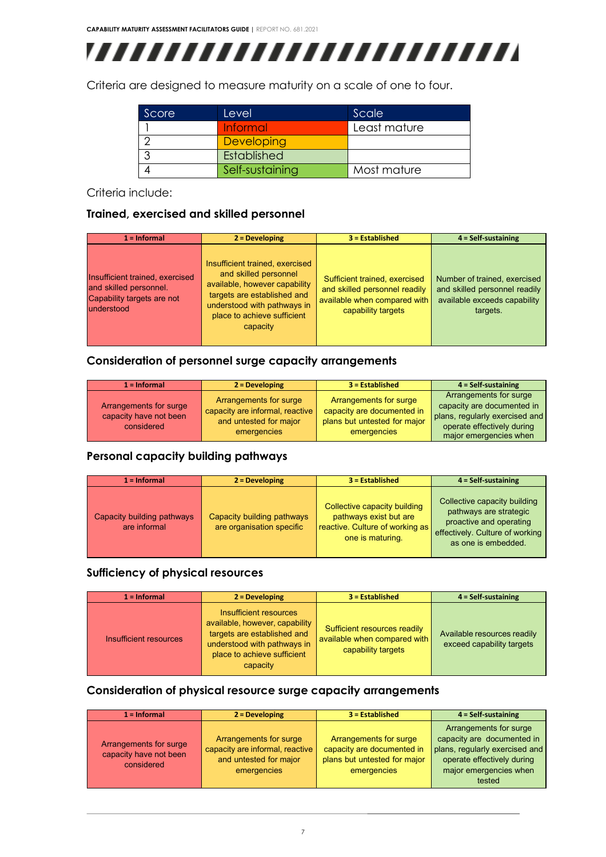Criteria are designed to measure maturity on a scale of one to four.

| Score | Level             | Scale        |
|-------|-------------------|--------------|
|       | Informal          | Least mature |
|       | <b>Developing</b> |              |
|       | Established       |              |
|       | Self-sustaining   | Most mature  |

Criteria include:

#### **Trained, exercised and skilled personnel**

| $1 = Informal$                                                                                        | $2 = Developing$                                                                                                                                                                                   | $3$ = Established                                                                                                    | $4 = Self-sustaining$                                                                                     |
|-------------------------------------------------------------------------------------------------------|----------------------------------------------------------------------------------------------------------------------------------------------------------------------------------------------------|----------------------------------------------------------------------------------------------------------------------|-----------------------------------------------------------------------------------------------------------|
| Insufficient trained, exercised<br>and skilled personnel.<br>Capability targets are not<br>understood | Insufficient trained, exercised<br>and skilled personnel<br>available, however capability<br>targets are established and<br>understood with pathways in<br>place to achieve sufficient<br>capacity | Sufficient trained, exercised<br>and skilled personnel readily<br>available when compared with<br>capability targets | Number of trained, exercised<br>and skilled personnel readily<br>available exceeds capability<br>targets. |

#### **Consideration of personnel surge capacity arrangements**

| $1 = Informal$                                                 | $2 = Developing$                                                                                   | $3$ = Established                                                                                   | $4 = Self-sustaining$                                                                                                                          |
|----------------------------------------------------------------|----------------------------------------------------------------------------------------------------|-----------------------------------------------------------------------------------------------------|------------------------------------------------------------------------------------------------------------------------------------------------|
| Arrangements for surge<br>capacity have not been<br>considered | Arrangements for surge<br>capacity are informal, reactive<br>and untested for major<br>emergencies | Arrangements for surge<br>capacity are documented in<br>plans but untested for major<br>emergencies | Arrangements for surge<br>capacity are documented in<br>plans, regularly exercised and<br>operate effectively during<br>major emergencies when |

#### **Personal capacity building pathways**

| $1 = Informal$                             | $2 = Developing$                                        | $3$ = Established                                                                                             | $4 = Self-sustaining$                                                                                                                       |
|--------------------------------------------|---------------------------------------------------------|---------------------------------------------------------------------------------------------------------------|---------------------------------------------------------------------------------------------------------------------------------------------|
| Capacity building pathways<br>are informal | Capacity building pathways<br>are organisation specific | Collective capacity building<br>pathways exist but are<br>reactive. Culture of working as<br>one is maturing. | Collective capacity building<br>pathways are strategic<br>proactive and operating<br>effectively. Culture of working<br>as one is embedded. |

#### **Sufficiency of physical resources**

| $1 = Informal$         | $2 = Developing$                                                                                                                                                  | $3 =$ Established                                                                  | $4 = Self-sustaining$                                    |
|------------------------|-------------------------------------------------------------------------------------------------------------------------------------------------------------------|------------------------------------------------------------------------------------|----------------------------------------------------------|
| Insufficient resources | Insufficient resources<br>available, however, capability<br>targets are established and<br>understood with pathways in<br>place to achieve sufficient<br>capacity | Sufficient resources readily<br>available when compared with<br>capability targets | Available resources readily<br>exceed capability targets |

#### **Consideration of physical resource surge capacity arrangements**

| $1 = Informal$                                                 | $2 = Developing$                                                                                   | $3$ = Established                                                                                   | $4 = Self-sustaining$                                                                                                                                    |
|----------------------------------------------------------------|----------------------------------------------------------------------------------------------------|-----------------------------------------------------------------------------------------------------|----------------------------------------------------------------------------------------------------------------------------------------------------------|
| Arrangements for surge<br>capacity have not been<br>considered | Arrangements for surge<br>capacity are informal, reactive<br>and untested for major<br>emergencies | Arrangements for surge<br>capacity are documented in<br>plans but untested for major<br>emergencies | Arrangements for surge<br>capacity are documented in<br>plans, regularly exercised and<br>operate effectively during<br>major emergencies when<br>tested |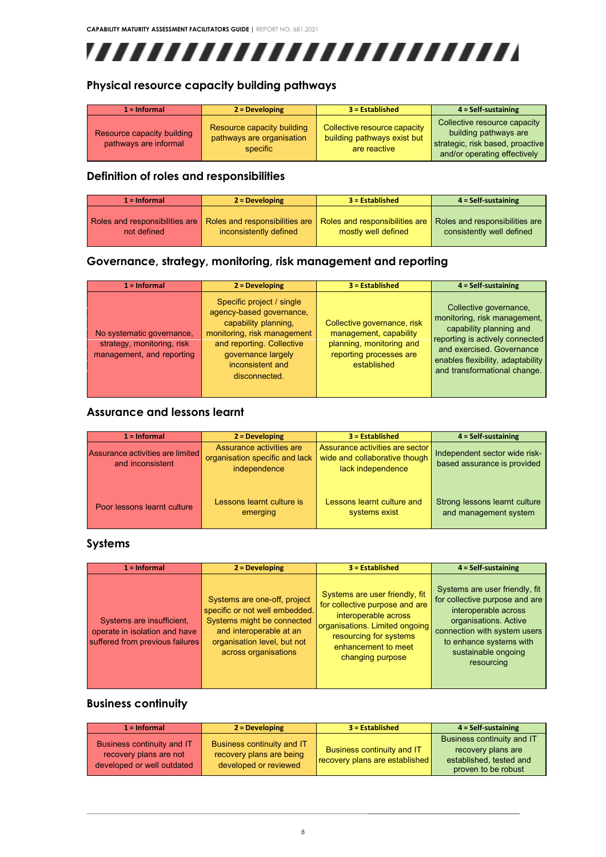

#### **Physical resource capacity building pathways**

| $1 = Informal$                                      | $2 = Developing$                                                    | $3$ = Established                                                           | $4 = Self-sustaining$                                                                                                     |
|-----------------------------------------------------|---------------------------------------------------------------------|-----------------------------------------------------------------------------|---------------------------------------------------------------------------------------------------------------------------|
| Resource capacity building<br>pathways are informal | Resource capacity building<br>pathways are organisation<br>specific | Collective resource capacity<br>building pathways exist but<br>are reactive | Collective resource capacity<br>building pathways are<br>strategic, risk based, proactive<br>and/or operating effectively |

#### **Definition of roles and responsibilities**

| $1 = Informal$                 | $2 = Developing$       | $3$ = Established                                               | $4 = Self-sustaining$          |
|--------------------------------|------------------------|-----------------------------------------------------------------|--------------------------------|
| Roles and responsibilities are | inconsistently defined | Roles and responsibilities are   Roles and responsibilities are | Roles and responsibilities are |
| not defined                    |                        | mostly well defined                                             | consistently well defined      |

#### **Governance, strategy, monitoring, risk management and reporting**

| $1 = Informal$                                                                       | $2 = Developing$                                                                                                                                                                                     | $3$ = Established                                                                                                           | 4 = Self-sustaining                                                                                                                                                                                                    |
|--------------------------------------------------------------------------------------|------------------------------------------------------------------------------------------------------------------------------------------------------------------------------------------------------|-----------------------------------------------------------------------------------------------------------------------------|------------------------------------------------------------------------------------------------------------------------------------------------------------------------------------------------------------------------|
| No systematic governance,<br>strategy, monitoring, risk<br>management, and reporting | Specific project / single<br>agency-based governance,<br>capability planning,<br>monitoring, risk management<br>and reporting. Collective<br>governance largely<br>inconsistent and<br>disconnected. | Collective governance, risk<br>management, capability<br>planning, monitoring and<br>reporting processes are<br>established | Collective governance,<br>monitoring, risk management,<br>capability planning and<br>reporting is actively connected<br>and exercised. Governance<br>enables flexibility, adaptability<br>and transformational change. |

#### **Assurance and lessons learnt**

| $1 = Informal$                                       | $2 = Developing$                                                           | $3$ = Established                                                                     | $4 = Self-sustaining$                                        |
|------------------------------------------------------|----------------------------------------------------------------------------|---------------------------------------------------------------------------------------|--------------------------------------------------------------|
| Assurance activities are limited<br>and inconsistent | Assurance activities are<br>organisation specific and lack<br>independence | Assurance activities are sector<br>wide and collaborative though<br>lack independence | Independent sector wide risk-<br>based assurance is provided |
| Poor lessons learnt culture                          | Lessons learnt culture is<br>emerging                                      | Lessons learnt culture and<br>systems exist                                           | Strong lessons learnt culture<br>and management system       |

#### **Systems**

| $1 = Informal$                                                                                | $2$ = Developing                                                                                                                                                               | $3$ = Established                                                                                                                                                                               | $4 = Self-sustaining$                                                                                                                                                                                             |
|-----------------------------------------------------------------------------------------------|--------------------------------------------------------------------------------------------------------------------------------------------------------------------------------|-------------------------------------------------------------------------------------------------------------------------------------------------------------------------------------------------|-------------------------------------------------------------------------------------------------------------------------------------------------------------------------------------------------------------------|
| Systems are insufficient.<br>operate in isolation and have<br>suffered from previous failures | Systems are one-off, project<br>specific or not well embedded.<br>Systems might be connected<br>and interoperable at an<br>organisation level, but not<br>across organisations | Systems are user friendly, fit<br>for collective purpose and are<br>interoperable across<br>organisations. Limited ongoing<br>resourcing for systems<br>enhancement to meet<br>changing purpose | Systems are user friendly, fit<br>for collective purpose and are<br>interoperable across<br>organisations. Active<br>connection with system users<br>to enhance systems with<br>sustainable ongoing<br>resourcing |

#### **Business continuity**

| $1 = Informal$                                                                     | $2 = Developing$                                                                       | $3 =$ Established                                            | $4 = Self-sustaining$                                                                              |
|------------------------------------------------------------------------------------|----------------------------------------------------------------------------------------|--------------------------------------------------------------|----------------------------------------------------------------------------------------------------|
| Business continuity and IT<br>recovery plans are not<br>developed or well outdated | <b>Business continuity and IT</b><br>recovery plans are being<br>developed or reviewed | Business continuity and IT<br>recovery plans are established | Business continuity and IT<br>recovery plans are<br>established, tested and<br>proven to be robust |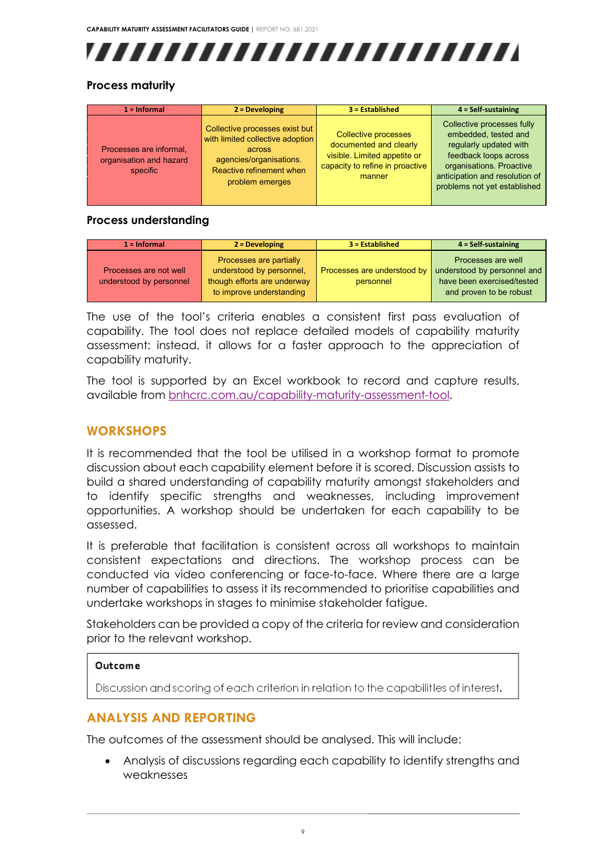

#### **Process maturity**

| $1 = Informal$                                                 | $2 = Developing$                                                                                                                                       | $3$ = Established                                                                                                                  | $4 = Self-sustaining$                                                                                                                                                                               |
|----------------------------------------------------------------|--------------------------------------------------------------------------------------------------------------------------------------------------------|------------------------------------------------------------------------------------------------------------------------------------|-----------------------------------------------------------------------------------------------------------------------------------------------------------------------------------------------------|
| Processes are informal.<br>organisation and hazard<br>specific | Collective processes exist but<br>with limited collective adoption<br>across<br>agencies/organisations.<br>Reactive refinement when<br>problem emerges | <b>Collective processes</b><br>documented and clearly<br>visible. Limited appetite or<br>capacity to refine in proactive<br>manner | Collective processes fully<br>embedded, tested and<br>regularly updated with<br>feedback loops across<br>organisations. Proactive<br>anticipation and resolution of<br>problems not yet established |

#### **Process understanding**

| $1 = Informal$                                    | $2 = Developing$                                                                                               | $3 =$ Established                        | $4 = Self-sustaining$                                                                                      |
|---------------------------------------------------|----------------------------------------------------------------------------------------------------------------|------------------------------------------|------------------------------------------------------------------------------------------------------------|
| Processes are not well<br>understood by personnel | Processes are partially<br>understood by personnel,<br>though efforts are underway<br>to improve understanding | Processes are understood by<br>personnel | Processes are well<br>understood by personnel and<br>have been exercised/tested<br>and proven to be robust |

The use of the tool's criteria enables a consistent first pass evaluation of capability. The tool does not replace detailed models of capability maturity assessment: instead, it allows for a faster approach to the appreciation of capability maturity.

The tool is supported by an Excel workbook to record and capture results, available from [bnhcrc.com.au/capability-maturity-assessment-tool.](https://www.bnhcrc.com.au/capability-maturity-assessment-tool)

#### <span id="page-9-0"></span>**WORKSHOPS**

It is recommended that the tool be utilised in a workshop format to promote discussion about each capability element before it is scored. Discussion assists to build a shared understanding of capability maturity amongst stakeholders and to identify specific strengths and weaknesses, including improvement opportunities. A workshop should be undertaken for each capability to be assessed.

It is preferable that facilitation is consistent across all workshops to maintain consistent expectations and directions. The workshop process can be conducted via video conferencing or face-to-face. Where there are a large number of capabilities to assess it its recommended to prioritise capabilities and undertake workshops in stages to minimise stakeholder fatigue.

Stakeholders can be provided a copy of the criteria for review and consideration prior to the relevant workshop.

#### Outcome

<span id="page-9-1"></span>Discussion and scoring of each criterion in relation to the capabilities of interest.

#### **ANALYSIS AND REPORTING**

The outcomes of the assessment should be analysed. This will include:

• Analysis of discussions regarding each capability to identify strengths and weaknesses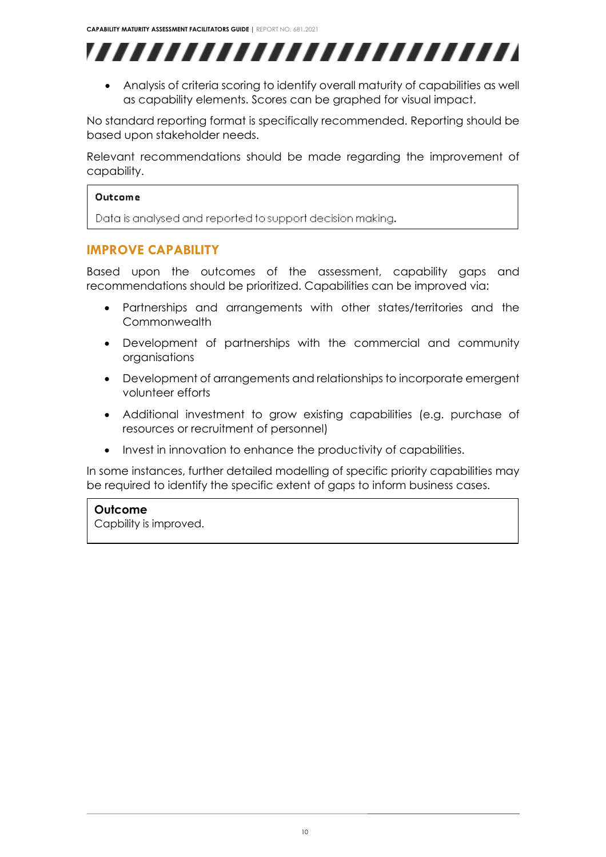,,,,,,,,,,,,,,,,,,,,,,,,,

• Analysis of criteria scoring to identify overall maturity of capabilities as well as capability elements. Scores can be graphed for visual impact.

No standard reporting format is specifically recommended. Reporting should be based upon stakeholder needs.

Relevant recommendations should be made regarding the improvement of capability.

#### Outcome

<span id="page-10-0"></span>Data is analysed and reported to support decision making.

### **IMPROVE CAPABILITY**

Based upon the outcomes of the assessment, capability gaps and recommendations should be prioritized. Capabilities can be improved via:

- Partnerships and arrangements with other states/territories and the Commonwealth
- Development of partnerships with the commercial and community organisations
- Development of arrangements and relationships to incorporate emergent volunteer efforts
- Additional investment to grow existing capabilities (e.g. purchase of resources or recruitment of personnel)
- Invest in innovation to enhance the productivity of capabilities.

In some instances, further detailed modelling of specific priority capabilities may be required to identify the specific extent of gaps to inform business cases.

#### **Outcome**

Capbility is improved.